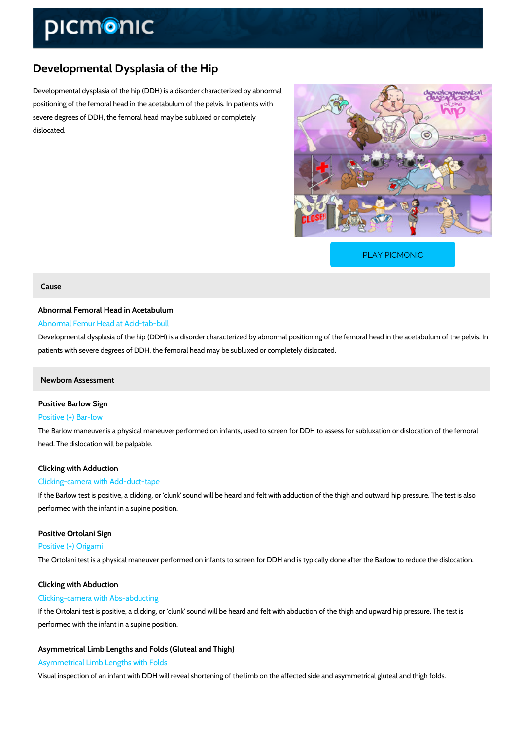## Developmental Dysplasia of the Hip

Developmental dysplasia of the hip (DDH) is a disorder characterized by abnormal positioning of the femoral head in the acetabulum of the pelvis. In patients with severe degrees of DDH, the femoral head may be subluxed or completely dislocated.

[PLAY PICMONIC](https://www.picmonic.com/learn/developmental-dysplasia-of-the-hip_2214?utm_source=downloadable_content&utm_medium=distributedcontent&utm_campaign=pathways_pdf&utm_content=Developmental Dysplasia of the Hip&utm_ad_group=leads&utm_market=all)

### Cause

Abnormal Femoral Head in Acetabulum Abnormal Femur Head at Acid-tab-bull Developmental dysplasia of the hip (DDH) is a disorder characterized by abnormal positioning

Newborn Assessment

Positive Barlow Sign Positive (+) Bar-low The Barlow maneuver is a physical maneuver performed on infants, used to screen for DDH to head. The dislocation will be palpable.

patients with severe degrees of DDH, the femoral head may be subluxed or completely disloca

Clicking with Adduction Clicking-camera with Add-duct-tape

If the Barlow test is positive, a clicking, or clunk sound will be heard and felt with adductio performed with the infant in a supine position.

Positive Ortolani Sign Positive (+) Origami The Ortolani test is a physical maneuver performed on infants to screen for DDH and is typica

Clicking with Abduction Clicking-camera with Abs-abducting If the Ortolani test is positive, a clicking, or clunk sound will be heard and felt with abducti performed with the infant in a supine position.

Asymmetrical Limb Lengths and Folds (Gluteal and Thigh) Asymmetrical Limb Lengths with Folds Visual inspection of an infant with DDH will reveal shortening of the limb on the affected side